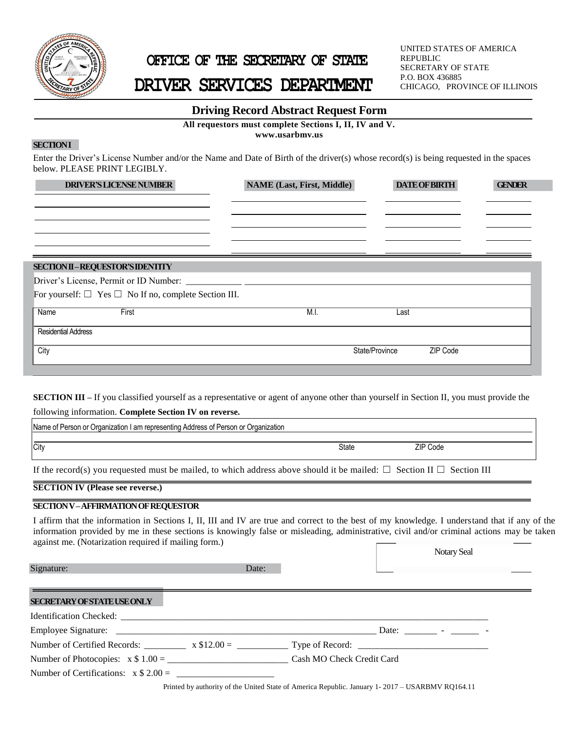

## **OFFICE OF THE SECRETARY OF STATE**

# **DRIVER SERVICES DEPARTMENT**

UNITED STATES OF AMERICA REPUBLIC SECRETARY OF STATE P.O. BOX 436885 CHICAGO, PROVINCE OF ILLINOIS

### **Driving Record Abstract Request Form**

**All requestors must complete Sections I, II, IV and V.** 

**www.usarbmv.us**

## **SECTIONI**

 $\frac{1}{2}$  such the space Enter the Driver's License Number and/or the Name and Date of Birth of the driver(s) whose record(s) is being requested in the spaces below. PLEASE PRINT LEGIBLY.

| <b>DRIVER'S LICENSE NUMBER</b>                                  | <b>NAME (Last, First, Middle)</b> | <b>DATE OF BIRTH</b>       | <b>GENDER</b> |
|-----------------------------------------------------------------|-----------------------------------|----------------------------|---------------|
|                                                                 |                                   |                            |               |
|                                                                 |                                   |                            |               |
|                                                                 |                                   |                            |               |
|                                                                 |                                   |                            |               |
|                                                                 |                                   |                            |               |
| SECTION II-REQUESTOR'S IDENTITY                                 |                                   |                            |               |
|                                                                 |                                   |                            |               |
| For yourself: $\Box$ Yes $\Box$ No If no, complete Section III. |                                   |                            |               |
| Name<br>First                                                   | M.I.                              | Last                       |               |
| <b>Residential Address</b>                                      |                                   |                            |               |
| City                                                            |                                   | ZIP Code<br>State/Province |               |
|                                                                 |                                   |                            |               |

**SECTION III** – If you classified yourself as a representative or agent of anyone other than yourself in Section II, you must provide the

following information. **Complete Section IV on reverse.**

| Name of Person or Organization I am representing Address of Person or Organization |       |          |  |  |  |  |
|------------------------------------------------------------------------------------|-------|----------|--|--|--|--|
|                                                                                    |       |          |  |  |  |  |
| City                                                                               | State | ZIP Code |  |  |  |  |
|                                                                                    |       |          |  |  |  |  |

If the record(s) you requested must be mailed, to which address above should it be mailed:  $\Box$  Section II  $\Box$  Section III

**SECTION IV (Please see reverse.)**

#### **SECTION V –AFFIRMATION OF REQUESTOR**

I affirm that the information in Sections I, II, III and IV are true and correct to the best of my knowledge. I understand that if any of the information provided by me in these sections is knowingly false or misleading, administrative, civil and/or criminal actions may be taken against me. (Notarization required if mailing form.)

|                                                                |       | <b>Notary Seal</b>                     |
|----------------------------------------------------------------|-------|----------------------------------------|
| Signature:                                                     | Date: | the control of the control of the con- |
|                                                                |       |                                        |
| <b>SECRETARY OF STATE USE ONLY</b>                             |       |                                        |
|                                                                |       |                                        |
|                                                                |       |                                        |
|                                                                |       |                                        |
| Number of Photocopies: $x \$ 1.00 =$ Cash MO Check Credit Card |       |                                        |
| Number of Certifications: $x $ 2.00 =$                         |       |                                        |
|                                                                |       |                                        |

Printed by authority of the United State of America Republic. January 1- 2017 – USARBMV RQ164.11